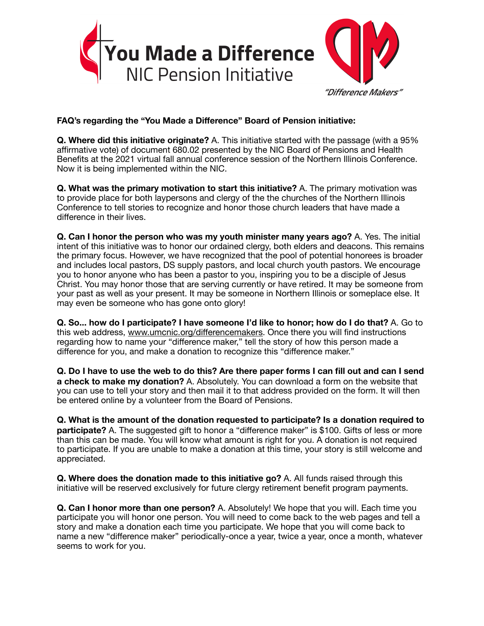

## **FAQ's regarding the "You Made a Difference" Board of Pension initiative:**

**Q. Where did this initiative originate?** A. This initiative started with the passage (with a 95% affirmative vote) of document 680.02 presented by the NIC Board of Pensions and Health Benefits at the 2021 virtual fall annual conference session of the Northern Illinois Conference. Now it is being implemented within the NIC.

**Q. What was the primary motivation to start this initiative?** A. The primary motivation was to provide place for both laypersons and clergy of the the churches of the Northern Illinois Conference to tell stories to recognize and honor those church leaders that have made a difference in their lives.

**Q. Can I honor the person who was my youth minister many years ago?** A. Yes. The initial intent of this initiative was to honor our ordained clergy, both elders and deacons. This remains the primary focus. However, we have recognized that the pool of potential honorees is broader and includes local pastors, DS supply pastors, and local church youth pastors. We encourage you to honor anyone who has been a pastor to you, inspiring you to be a disciple of Jesus Christ. You may honor those that are serving currently or have retired. It may be someone from your past as well as your present. It may be someone in Northern Illinois or someplace else. It may even be someone who has gone onto glory!

**Q. So... how do I participate? I have someone I'd like to honor; how do I do that?** A. Go to this web address, [www.umcnic.org/di](http://www.umcnic.org/differencemakers)fferencemakers. Once there you will find instructions regarding how to name your "difference maker," tell the story of how this person made a difference for you, and make a donation to recognize this "difference maker."

**Q. Do I have to use the web to do this? Are there paper forms I can fill out and can I send a check to make my donation?** A. Absolutely. You can download a form on the website that you can use to tell your story and then mail it to that address provided on the form. It will then be entered online by a volunteer from the Board of Pensions.

**Q. What is the amount of the donation requested to participate? Is a donation required to participate?** A. The suggested gift to honor a "difference maker" is \$100. Gifts of less or more than this can be made. You will know what amount is right for you. A donation is not required to participate. If you are unable to make a donation at this time, your story is still welcome and appreciated.

**Q. Where does the donation made to this initiative go?** A. All funds raised through this initiative will be reserved exclusively for future clergy retirement benefit program payments.

**Q. Can I honor more than one person?** A. Absolutely! We hope that you will. Each time you participate you will honor one person. You will need to come back to the web pages and tell a story and make a donation each time you participate. We hope that you will come back to name a new "difference maker" periodically-once a year, twice a year, once a month, whatever seems to work for you.